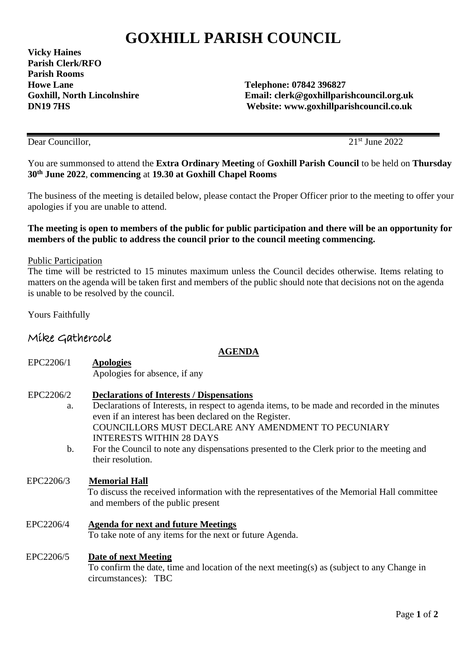# **GOXHILL PARISH COUNCIL**

**Vicky Haines Parish Clerk/RFO Parish Rooms Howe Lane Telephone: 07842 396827** 

**Goxhill, North Lincolnshire Email: clerk@goxhillparishcouncil.org.uk DN19 7HS Website: www.goxhillparishcouncil.co.uk** 

Dear Councillor, 2022

You are summonsed to attend the **Extra Ordinary Meeting** of **Goxhill Parish Council** to be held on **Thursday 30th June 2022**, **commencing** at **19.30 at Goxhill Chapel Rooms** 

The business of the meeting is detailed below, please contact the Proper Officer prior to the meeting to offer your apologies if you are unable to attend.

## **The meeting is open to members of the public for public participation and there will be an opportunity for members of the public to address the council prior to the council meeting commencing.**

## Public Participation

The time will be restricted to 15 minutes maximum unless the Council decides otherwise. Items relating to matters on the agenda will be taken first and members of the public should note that decisions not on the agenda is unable to be resolved by the council.

Yours Faithfully

# Mike Gathercole

#### **AGENDA**

- EPC2206/1 **Apologies** Apologies for absence, if any
- EPC2206/2 **Declarations of Interests / Dispensations**
	- a. Declarations of Interests, in respect to agenda items, to be made and recorded in the minutes even if an interest has been declared on the Register. COUNCILLORS MUST DECLARE ANY AMENDMENT TO PECUNIARY INTERESTS WITHIN 28 DAYS
	- b. For the Council to note any dispensations presented to the Clerk prior to the meeting and their resolution.

#### EPC2206/3 **Memorial Hall**

 To discuss the received information with the representatives of the Memorial Hall committee and members of the public present

 EPC2206/4 **Agenda for next and future Meetings** To take note of any items for the next or future Agenda.

# EPC2206/5 **Date of next Meeting**

 To confirm the date, time and location of the next meeting(s) as (subject to any Change in circumstances): TBC